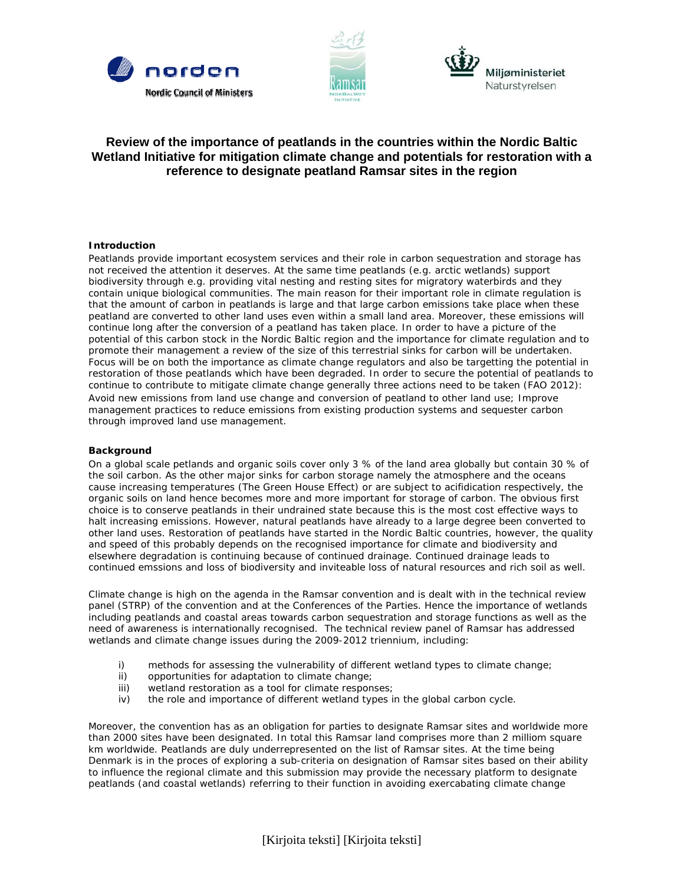





# **Review of the importance of peatlands in the countries within the Nordic Baltic Wetland Initiative for mitigation climate change and potentials for restoration with a reference to designate peatland Ramsar sites in the region**

### **Introduction**

Peatlands provide important ecosystem services and their role in carbon sequestration and storage has not received the attention it deserves. At the same time peatlands (e.g. arctic wetlands) support biodiversity through e.g. providing vital nesting and resting sites for migratory waterbirds and they contain unique biological communities. The main reason for their important role in climate regulation is that the amount of carbon in peatlands is large and that large carbon emissions take place when these peatland are converted to other land uses even within a small land area. Moreover, these emissions will continue long after the conversion of a peatland has taken place. In order to have a picture of the potential of this carbon stock in the Nordic Baltic region and the importance for climate regulation and to promote their management a review of the size of this terrestrial sinks for carbon will be undertaken. Focus will be on both the importance as climate change regulators and also be targetting the potential in restoration of those peatlands which have been degraded. In order to secure the potential of peatlands to continue to contribute to mitigate climate change generally three actions need to be taken (FAO 2012): Avoid new emissions from land use change and conversion of peatland to other land use; Improve management practices to reduce emissions from existing production systems and sequester carbon through improved land use management.

#### **Background**

On a global scale petlands and organic soils cover only 3 % of the land area globally but contain 30 % of the soil carbon. As the other major sinks for carbon storage namely the atmosphere and the oceans cause increasing temperatures (The Green House Effect) or are subject to acifidication respectively, the organic soils on land hence becomes more and more important for storage of carbon. The obvious first choice is to conserve peatlands in their undrained state because this is the most cost effective ways to halt increasing emissions. However, natural peatlands have already to a large degree been converted to other land uses. Restoration of peatlands have started in the Nordic Baltic countries, however, the quality and speed of this probably depends on the recognised importance for climate and biodiversity and elsewhere degradation is continuing because of continued drainage. Continued drainage leads to continued emssions and loss of biodiversity and inviteable loss of natural resources and rich soil as well.

Climate change is high on the agenda in the Ramsar convention and is dealt with in the technical review panel (STRP) of the convention and at the Conferences of the Parties. Hence the importance of wetlands including peatlands and coastal areas towards carbon sequestration and storage functions as well as the need of awareness is internationally recognised. The technical review panel of Ramsar has addressed wetlands and climate change issues during the 2009-2012 triennium, including:

- i) methods for assessing the vulnerability of different wetland types to climate change;
- ii) opportunities for adaptation to climate change;
- iii) wetland restoration as a tool for climate responses;
- iv) the role and importance of different wetland types in the global carbon cycle.

Moreover, the convention has as an obligation for parties to designate Ramsar sites and worldwide more than 2000 sites have been designated. In total this Ramsar land comprises more than 2 milliom square km worldwide. Peatlands are duly underrepresented on the list of Ramsar sites. At the time being Denmark is in the proces of exploring a sub-criteria on designation of Ramsar sites based on their ability to influence the regional climate and this submission may provide the necessary platform to designate peatlands (and coastal wetlands) referring to their function in avoiding exercabating climate change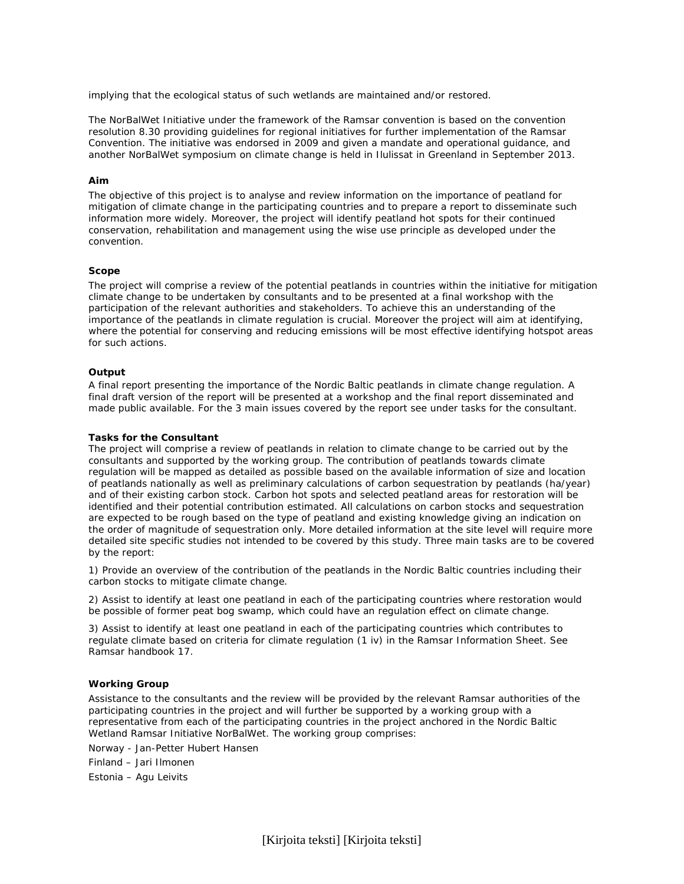implying that the ecological status of such wetlands are maintained and/or restored.

The NorBalWet Initiative under the framework of the Ramsar convention is based on the convention resolution 8.30 providing guidelines for regional initiatives for further implementation of the Ramsar Convention. The initiative was endorsed in 2009 and given a mandate and operational guidance, and another NorBalWet symposium on climate change is held in Ilulissat in Greenland in September 2013.

#### **Aim**

The objective of this project is to analyse and review information on the importance of peatland for mitigation of climate change in the participating countries and to prepare a report to disseminate such information more widely. Moreover, the project will identify peatland hot spots for their continued conservation, rehabilitation and management using the wise use principle as developed under the convention.

#### **Scope**

The project will comprise a review of the potential peatlands in countries within the initiative for mitigation climate change to be undertaken by consultants and to be presented at a final workshop with the participation of the relevant authorities and stakeholders. To achieve this an understanding of the importance of the peatlands in climate regulation is crucial. Moreover the project will aim at identifying, where the potential for conserving and reducing emissions will be most effective identifying hotspot areas for such actions.

#### **Output**

A final report presenting the importance of the Nordic Baltic peatlands in climate change regulation. A final draft version of the report will be presented at a workshop and the final report disseminated and made public available. For the 3 main issues covered by the report see under tasks for the consultant.

#### **Tasks for the Consultant**

The project will comprise a review of peatlands in relation to climate change to be carried out by the consultants and supported by the working group. The contribution of peatlands towards climate regulation will be mapped as detailed as possible based on the available information of size and location of peatlands nationally as well as preliminary calculations of carbon sequestration by peatlands (ha/year) and of their existing carbon stock. Carbon hot spots and selected peatland areas for restoration will be identified and their potential contribution estimated. All calculations on carbon stocks and sequestration are expected to be rough based on the type of peatland and existing knowledge giving an indication on the order of magnitude of sequestration only. More detailed information at the site level will require more detailed site specific studies not intended to be covered by this study. Three main tasks are to be covered by the report:

1) Provide an overview of the contribution of the peatlands in the Nordic Baltic countries including their carbon stocks to mitigate climate change.

2) Assist to identify at least one peatland in each of the participating countries where restoration would be possible of former peat bog swamp, which could have an regulation effect on climate change.

3) Assist to identify at least one peatland in each of the participating countries which contributes to regulate climate based on criteria for climate regulation (1 iv) in the Ramsar Information Sheet. See Ramsar handbook 17.

#### **Working Group**

Assistance to the consultants and the review will be provided by the relevant Ramsar authorities of the participating countries in the project and will further be supported by a working group with a representative from each of the participating countries in the project anchored in the Nordic Baltic Wetland Ramsar Initiative NorBalWet. The working group comprises:

Norway - Jan-Petter Hubert Hansen

Finland – Jari Ilmonen

Estonia – Agu Leivits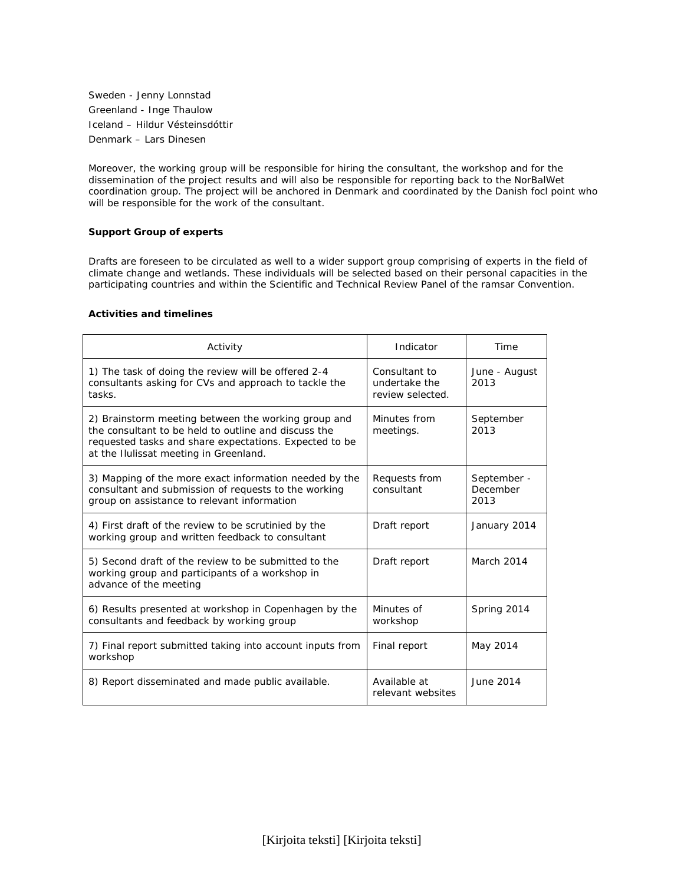Sweden - Jenny Lonnstad Greenland - Inge Thaulow Iceland – Hildur Vésteinsdóttir Denmark – Lars Dinesen

Moreover, the working group will be responsible for hiring the consultant, the workshop and for the dissemination of the project results and will also be responsible for reporting back to the NorBalWet coordination group. The project will be anchored in Denmark and coordinated by the Danish focl point who will be responsible for the work of the consultant.

## **Support Group of experts**

Drafts are foreseen to be circulated as well to a wider support group comprising of experts in the field of climate change and wetlands. These individuals will be selected based on their personal capacities in the participating countries and within the Scientific and Technical Review Panel of the ramsar Convention.

## **Activities and timelines**

| Activity                                                                                                                                                                                                        | Indicator                                          | Time                            |
|-----------------------------------------------------------------------------------------------------------------------------------------------------------------------------------------------------------------|----------------------------------------------------|---------------------------------|
| 1) The task of doing the review will be offered 2-4<br>consultants asking for CVs and approach to tackle the<br>tasks.                                                                                          | Consultant to<br>undertake the<br>review selected. | June - August<br>2013           |
| 2) Brainstorm meeting between the working group and<br>the consultant to be held to outline and discuss the<br>requested tasks and share expectations. Expected to be<br>at the Ilulissat meeting in Greenland. | Minutes from<br>meetings.                          | September<br>2013               |
| 3) Mapping of the more exact information needed by the<br>consultant and submission of requests to the working<br>group on assistance to relevant information                                                   | Requests from<br>consultant                        | September -<br>December<br>2013 |
| 4) First draft of the review to be scrutinied by the<br>working group and written feedback to consultant                                                                                                        | Draft report                                       | January 2014                    |
| 5) Second draft of the review to be submitted to the<br>working group and participants of a workshop in<br>advance of the meeting                                                                               | Draft report                                       | March 2014                      |
| 6) Results presented at workshop in Copenhagen by the<br>consultants and feedback by working group                                                                                                              | Minutes of<br>workshop                             | Spring 2014                     |
| 7) Final report submitted taking into account inputs from<br>workshop                                                                                                                                           | Final report                                       | May 2014                        |
| 8) Report disseminated and made public available.                                                                                                                                                               | Available at<br>relevant websites                  | June 2014                       |